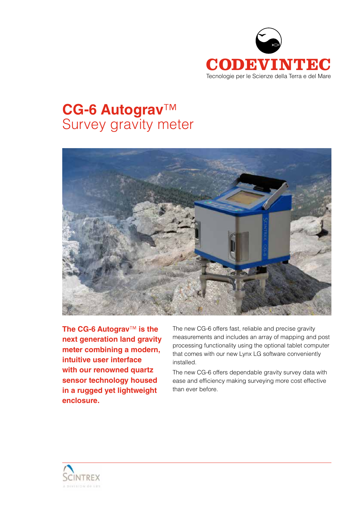

# **CG-6 Autograv**™ Survey gravity meter



**The CG-6 Autograv**™ **is the next generation land gravity meter combining a modern, intuitive user interface with our renowned quartz sensor technology housed in a rugged yet lightweight enclosure.**

The new CG-6 offers fast, reliable and precise gravity measurements and includes an array of mapping and post processing functionality using the optional tablet computer that comes with our new Lynx LG software conveniently installed.

The new CG-6 offers dependable gravity survey data with ease and efficiency making surveying more cost effective than ever before.

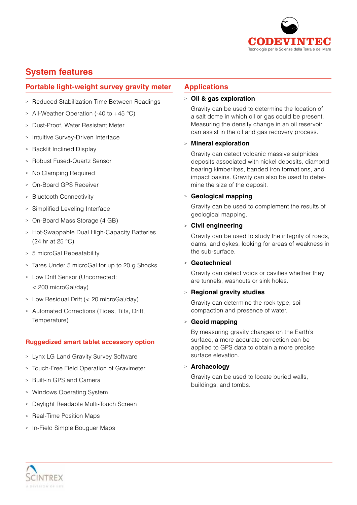

## **System features**

### **Portable light-weight survey gravity meter**

- <sup>&</sup>gt; Reduced Stabilization Time Between Readings
- <sup>&</sup>gt; All-Weather Operation (-40 to +45 °C)
- <sup>&</sup>gt; Dust-Proof, Water Resistant Meter
- <sup>&</sup>gt; Intuitive Survey-Driven Interface
- <sup>&</sup>gt; Backlit Inclined Display
- <sup>&</sup>gt; Robust Fused-Quartz Sensor
- <sup>&</sup>gt; No Clamping Required
- <sup>&</sup>gt; On-Board GPS Receiver
- <sup>&</sup>gt; Bluetooth Connectivity
- <sup>&</sup>gt; Simplified Leveling Interface
- <sup>&</sup>gt; On-Board Mass Storage (4 GB)
- <sup>&</sup>gt; Hot-Swappable Dual High-Capacity Batteries (24 hr at 25 °C)
- <sup>&</sup>gt; 5 microGal Repeatability
- <sup>&</sup>gt; Tares Under 5 microGal for up to 20 g Shocks
- <sup>&</sup>gt; Low Drift Sensor (Uncorrected:
	- < 200 microGal/day)
- <sup>&</sup>gt; Low Residual Drift (< 20 microGal/day)
- <sup>&</sup>gt; Automated Corrections (Tides, Tilts, Drift, Temperature)

### **Ruggedized smart tablet accessory option**

- <sup>&</sup>gt; Lynx LG Land Gravity Survey Software
- <sup>&</sup>gt; Touch-Free Field Operation of Gravimeter
- <sup>&</sup>gt; Built-in GPS and Camera
- <sup>&</sup>gt; Windows Operating System
- <sup>&</sup>gt; Daylight Readable Multi-Touch Screen
- <sup>&</sup>gt; Real-Time Position Maps
- > In-Field Simple Bouguer Maps

### **Applications**

### <sup>&</sup>gt; **Oil & gas exploration**

Gravity can be used to determine the location of a salt dome in which oil or gas could be present. Measuring the density change in an oil reservoir can assist in the oil and gas recovery process.

### <sup>&</sup>gt; **Mineral exploration**

Gravity can detect volcanic massive sulphides deposits associated with nickel deposits, diamond bearing kimberlites, banded iron formations, and impact basins. Gravity can also be used to determine the size of the deposit.

### <sup>&</sup>gt; **Geological mapping**

Gravity can be used to complement the results of geological mapping.

### <sup>&</sup>gt; **Civil engineering**

Gravity can be used to study the integrity of roads, dams, and dykes, looking for areas of weakness in the sub-surface.

### <sup>&</sup>gt; **Geotechnical**

Gravity can detect voids or cavities whether they are tunnels, washouts or sink holes.

### <sup>&</sup>gt; **Regional gravity studies**

Gravity can determine the rock type, soil compaction and presence of water.

### <sup>&</sup>gt; **Geoid mapping**

By measuring gravity changes on the Earth's surface, a more accurate correction can be applied to GPS data to obtain a more precise surface elevation.

### <sup>&</sup>gt; **Archaeology**

Gravity can be used to locate buried walls, buildings, and tombs.

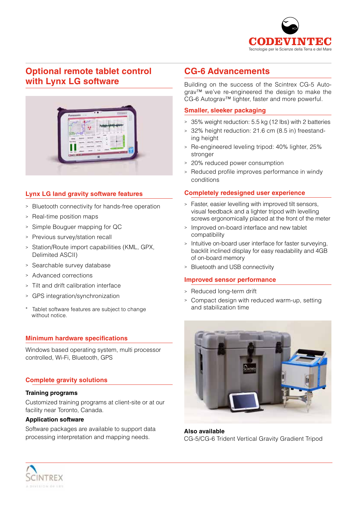

# **Optional remote tablet control with Lynx LG software**



### **Lynx LG land gravity software features**

- <sup>&</sup>gt; Bluetooth connectivity for hands-free operation
- <sup>&</sup>gt; Real-time position maps
- <sup>&</sup>gt; Simple Bouguer mapping for QC
- <sup>&</sup>gt; Previous survey/station recall
- <sup>&</sup>gt; Station/Route import capabilities (KML, GPX, Delimited ASCII)
- <sup>&</sup>gt; Searchable survey database
- <sup>&</sup>gt; Advanced corrections
- <sup>&</sup>gt; Tilt and drift calibration interface
- <sup>&</sup>gt; GPS integration/synchronization
- Tablet software features are subject to change without notice.

### **Minimum hardware specifications**

Windows based operating system, multi processor controlled, Wi-Fi, Bluetooth, GPS

### **Complete gravity solutions**

#### **Training programs**

Customized training programs at client-site or at our facility near Toronto, Canada.

#### **Application software**

Software packages are available to support data processing interpretation and mapping needs.

# **CG-6 Advancements**

Building on the success of the Scintrex CG-5 Autograv<sup>™</sup> we've re-engineered the design to make the CG-6 Autograv™ lighter, faster and more powerful.

#### **Smaller, sleeker packaging**

- <sup>&</sup>gt; 35% weight reduction: 5.5 kg (12 lbs) with 2 batteries
- <sup>&</sup>gt; 32% height reduction: 21.6 cm (8.5 in) freestanding height
- <sup>&</sup>gt; Re-engineered leveling tripod: 40% lighter, 25% stronger
- <sup>&</sup>gt; 20% reduced power consumption
- <sup>&</sup>gt; Reduced profile improves performance in windy conditions

### **Completely redesigned user experience**

- <sup>&</sup>gt; Faster, easier levelling with improved tilt sensors, visual feedback and a lighter tripod with levelling screws ergonomically placed at the front of the meter
- <sup>&</sup>gt; Improved on-board interface and new tablet compatibility
- <sup>&</sup>gt; Intuitive on-board user interface for faster surveying, backlit inclined display for easy readability and 4GB of on-board memory
- <sup>&</sup>gt; Bluetooth and USB connectivity

### **Improved sensor performance**

- <sup>&</sup>gt; Reduced long-term drift
- <sup>&</sup>gt; Compact design with reduced warm-up, setting and stabilization time



**Also available** CG-5/CG-6 Trident Vertical Gravity Gradient Tripod